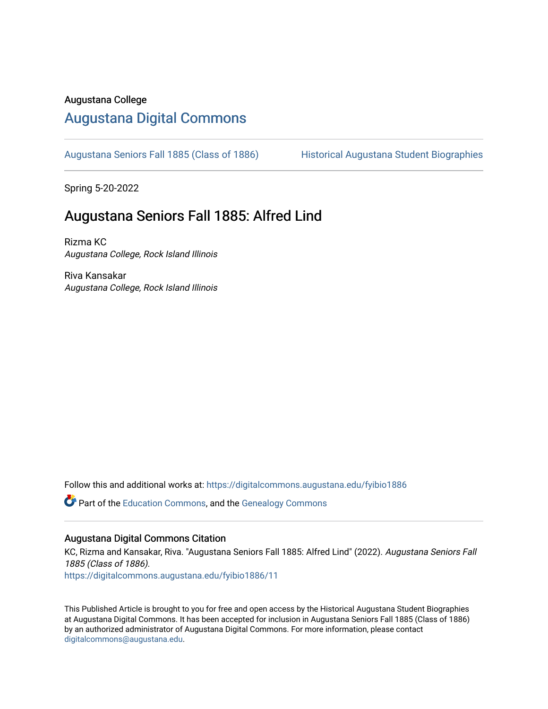#### Augustana College

#### [Augustana Digital Commons](https://digitalcommons.augustana.edu/)

[Augustana Seniors Fall 1885 \(Class of 1886\)](https://digitalcommons.augustana.edu/fyibio1886) Historical Augustana Student Biographies

Spring 5-20-2022

#### Augustana Seniors Fall 1885: Alfred Lind

Rizma KC Augustana College, Rock Island Illinois

Riva Kansakar Augustana College, Rock Island Illinois

Follow this and additional works at: [https://digitalcommons.augustana.edu/fyibio1886](https://digitalcommons.augustana.edu/fyibio1886?utm_source=digitalcommons.augustana.edu%2Ffyibio1886%2F11&utm_medium=PDF&utm_campaign=PDFCoverPages) 

Part of the [Education Commons](https://network.bepress.com/hgg/discipline/784?utm_source=digitalcommons.augustana.edu%2Ffyibio1886%2F11&utm_medium=PDF&utm_campaign=PDFCoverPages), and the [Genealogy Commons](https://network.bepress.com/hgg/discipline/1342?utm_source=digitalcommons.augustana.edu%2Ffyibio1886%2F11&utm_medium=PDF&utm_campaign=PDFCoverPages) 

#### Augustana Digital Commons Citation

KC, Rizma and Kansakar, Riva. "Augustana Seniors Fall 1885: Alfred Lind" (2022). Augustana Seniors Fall 1885 (Class of 1886).

[https://digitalcommons.augustana.edu/fyibio1886/11](https://digitalcommons.augustana.edu/fyibio1886/11?utm_source=digitalcommons.augustana.edu%2Ffyibio1886%2F11&utm_medium=PDF&utm_campaign=PDFCoverPages)

This Published Article is brought to you for free and open access by the Historical Augustana Student Biographies at Augustana Digital Commons. It has been accepted for inclusion in Augustana Seniors Fall 1885 (Class of 1886) by an authorized administrator of Augustana Digital Commons. For more information, please contact [digitalcommons@augustana.edu](mailto:digitalcommons@augustana.edu).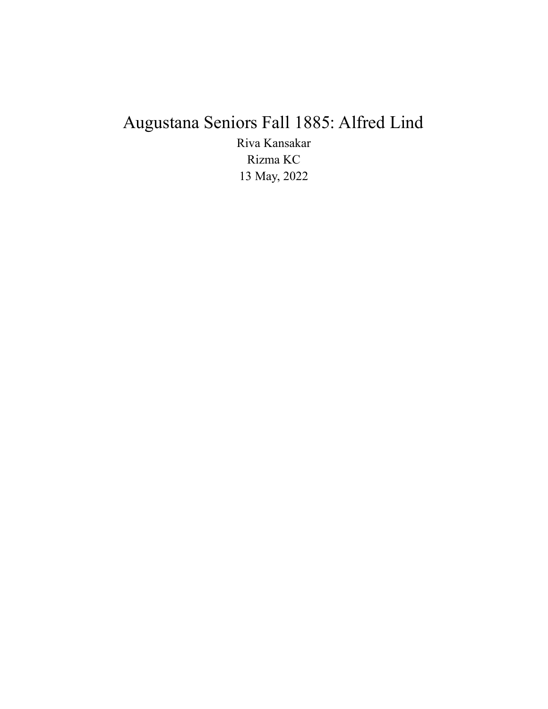# Augustana Seniors Fall 1885: Alfred Lind

Riva Kansakar Rizma KC 13 May, 2022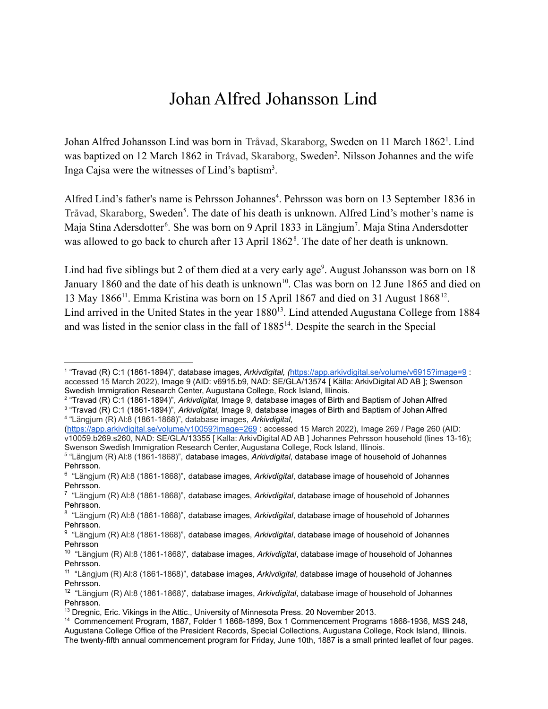### Johan Alfred Johansson Lind

Johan Alfred Johansson Lind was born in Tråvad, Skaraborg, Sweden on 11 March 1862<sup>1</sup>. Lind was baptized on 12 March 1862 in Tråvad, Skaraborg, Sweden<sup>2</sup>. Nilsson Johannes and the wife Inga Cajsa were the witnesses of Lind's baptism<sup>3</sup>.

Alfred Lind's father's name is Pehrsson Johannes<sup>4</sup>. Pehrsson was born on 13 September 1836 in Tråvad, Skaraborg, Sweden<sup>5</sup>. The date of his death is unknown. Alfred Lind's mother's name is Maja Stina Adersdotter<sup>6</sup>. She was born on 9 April 1833 in Längjum<sup>7</sup>. Maja Stina Andersdotter was allowed to go back to church after 13 April 1862<sup>8</sup>. The date of her death is unknown.

Lind had five siblings but 2 of them died at a very early age<sup>9</sup>. August Johansson was born on 18 January 1860 and the date of his death is unknown<sup>10</sup>. Clas was born on 12 June 1865 and died on 13 May 1866<sup>11</sup>. Emma Kristina was born on 15 April 1867 and died on 31 August 1868<sup>12</sup>. Lind arrived in the United States in the year 1880<sup>13</sup>. Lind attended Augustana College from 1884 and was listed in the senior class in the fall of 1885<sup>14</sup>. Despite the search in the Special

(<https://app.arkivdigital.se/volume/v10059?image=269> : accessed 15 March 2022), Image 269 / Page 260 (AID: v10059.b269.s260, NAD: SE/GLA/13355 [ Kalla: ArkivDigital AD AB ] Johannes Pehrsson household (lines 13-16); Swenson Swedish Immigration Research Center, Augustana College, Rock Island, Illinois.

<sup>1</sup> "Travad (R) C:1 (1861-1894)", database images, *Arkivdigital, (*<https://app.arkivdigital.se/volume/v6915?image=9> : accessed 15 March 2022), Image 9 (AID: v6915.b9, NAD: SE/GLA/13574 [ Källa: ArkivDigital AD AB ]; Swenson Swedish Immigration Research Center, Augustana College, Rock Island, Illinois.

<sup>2</sup> "Travad (R) C:1 (1861-1894)", *Arkivdigital,* Image 9, database images of Birth and Baptism of Johan Alfred

<sup>4</sup> "Längjum (R) Al:8 (1861-1868)", database images, *Arkivdigital*, 3 "Travad (R) C:1 (1861-1894)", *Arkivdigital,* Image 9, database images of Birth and Baptism of Johan Alfred

<sup>5</sup> "Längjum (R) Al:8 (1861-1868)", database images, *Arkivdigital*, database image of household of Johannes Pehrsson.

<sup>6</sup> "Längjum (R) Al:8 (1861-1868)", database images, *Arkivdigital*, database image of household of Johannes Pehrsson.

<sup>7</sup> "Längjum (R) Al:8 (1861-1868)", database images, *Arkivdigital*, database image of household of Johannes Pehrsson.

<sup>8</sup> "Längjum (R) Al:8 (1861-1868)", database images, *Arkivdigital*, database image of household of Johannes Pehrsson.

<sup>9</sup> "Längjum (R) Al:8 (1861-1868)", database images, *Arkivdigital*, database image of household of Johannes Pehrsson

<sup>10</sup> "Längjum (R) Al:8 (1861-1868)", database images, *Arkivdigital*, database image of household of Johannes Pehrsson.

<sup>11</sup> "Längjum (R) Al:8 (1861-1868)", database images, *Arkivdigital*, database image of household of Johannes Pehrsson.

<sup>12</sup> "Längjum (R) Al:8 (1861-1868)", database images, *Arkivdigital*, database image of household of Johannes Pehrsson.

<sup>&</sup>lt;sup>13</sup> Dregnic, Eric. Vikings in the Attic., University of Minnesota Press, 20 November 2013.

<sup>14</sup> Commencement Program, 1887, Folder 1 1868-1899, Box 1 Commencement Programs 1868-1936, MSS 248, Augustana College Office of the President Records, Special Collections, Augustana College, Rock Island, Illinois. The twenty-fifth annual commencement program for Friday, June 10th, 1887 is a small printed leaflet of four pages.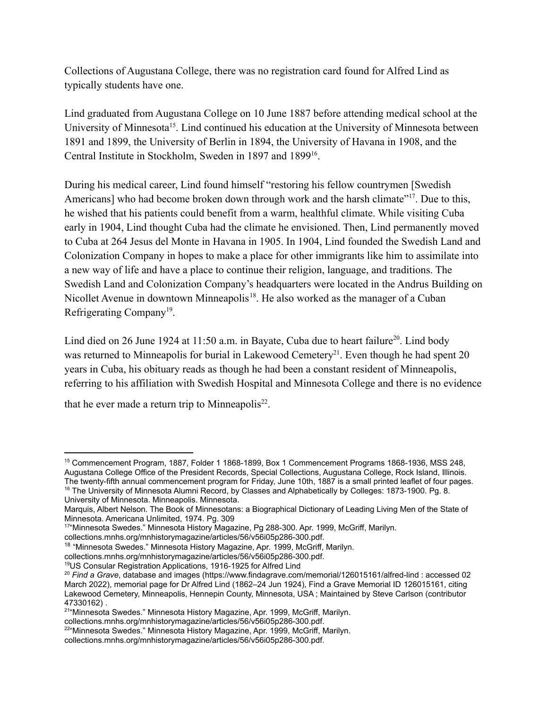Collections of Augustana College, there was no registration card found for Alfred Lind as typically students have one.

Lind graduated from Augustana College on 10 June 1887 before attending medical school at the University of Minnesota<sup>15</sup>. Lind continued his education at the University of Minnesota between 1891 and 1899, the University of Berlin in 1894, the University of Havana in 1908, and the Central Institute in Stockholm, Sweden in 1897 and 1899<sup>16</sup>.

During his medical career, Lind found himself "restoring his fellow countrymen [Swedish Americans] who had become broken down through work and the harsh climate"<sup>17</sup>. Due to this, he wished that his patients could benefit from a warm, healthful climate. While visiting Cuba early in 1904, Lind thought Cuba had the climate he envisioned. Then, Lind permanently moved to Cuba at 264 Jesus del Monte in Havana in 1905. In 1904, Lind founded the Swedish Land and Colonization Company in hopes to make a place for other immigrants like him to assimilate into a new way of life and have a place to continue their religion, language, and traditions. The Swedish Land and Colonization Company's headquarters were located in the Andrus Building on Nicollet Avenue in downtown Minneapolis<sup>18</sup>. He also worked as the manager of a Cuban Refrigerating Company<sup>19</sup>.

Lind died on 26 June 1924 at 11:50 a.m. in Bayate, Cuba due to heart failure<sup>20</sup>. Lind body was returned to Minneapolis for burial in Lakewood Cemetery<sup>21</sup>. Even though he had spent 20 years in Cuba, his obituary reads as though he had been a constant resident of Minneapolis, referring to his affiliation with Swedish Hospital and Minnesota College and there is no evidence

that he ever made a return trip to Minneapolis $^{22}$ .

University of Minnesota. Minneapolis. Minnesota.

<sup>&</sup>lt;sup>16</sup> The University of Minnesota Alumni Record, by Classes and Alphabetically by Colleges: 1873-1900. Pg. 8. <sup>15</sup> Commencement Program, 1887, Folder 1 1868-1899, Box 1 Commencement Programs 1868-1936, MSS 248, Augustana College Office of the President Records, Special Collections, Augustana College, Rock Island, Illinois. The twenty-fifth annual commencement program for Friday, June 10th, 1887 is a small printed leaflet of four pages.

Marquis, Albert Nelson. The Book of Minnesotans: a Biographical Dictionary of Leading Living Men of the State of Minnesota. Americana Unlimited, 1974. Pg. 309

<sup>&</sup>lt;sup>17</sup>"Minnesota Swedes." Minnesota History Magazine, Pg 288-300. Apr. 1999, McGriff, Marilyn.

collections.mnhs.org/mnhistorymagazine/articles/56/v56i05p286-300.pdf.

<sup>&</sup>lt;sup>18</sup> "Minnesota Swedes." Minnesota History Magazine, Apr. 1999, McGriff, Marilyn.

collections.mnhs.org/mnhistorymagazine/articles/56/v56i05p286-300.pdf.

<sup>19</sup>US Consular Registration Applications, 1916-1925 for Alfred Lind

<sup>20</sup> *Find a Grave*, database and images [\(https://www.findagrave.com/memorial/126015161/alfred-lind](https://www.findagrave.com/memorial/126015161/alfred-lind) : accessed 02 March 2022), memorial page for Dr Alfred Lind (1862–24 Jun 1924), Find a Grave Memorial ID [126015161](https://www.findagrave.com/memorial/126015161/alfred-lind), citing Lakewood Cemetery, Minneapolis, Hennepin County, Minnesota, USA ; Maintained by Steve Carlson (contributor [47330162](https://www.findagrave.com/user/profile/47330162)) .

<sup>&</sup>lt;sup>21</sup>"Minnesota Swedes." Minnesota History Magazine, Apr. 1999, McGriff, Marilyn.

collections.mnhs.org/mnhistorymagazine/articles/56/v56i05p286-300.pdf.

<sup>&</sup>lt;sup>22</sup>"Minnesota Swedes." Minnesota History Magazine, Apr. 1999, McGriff, Marilyn.

collections.mnhs.org/mnhistorymagazine/articles/56/v56i05p286-300.pdf.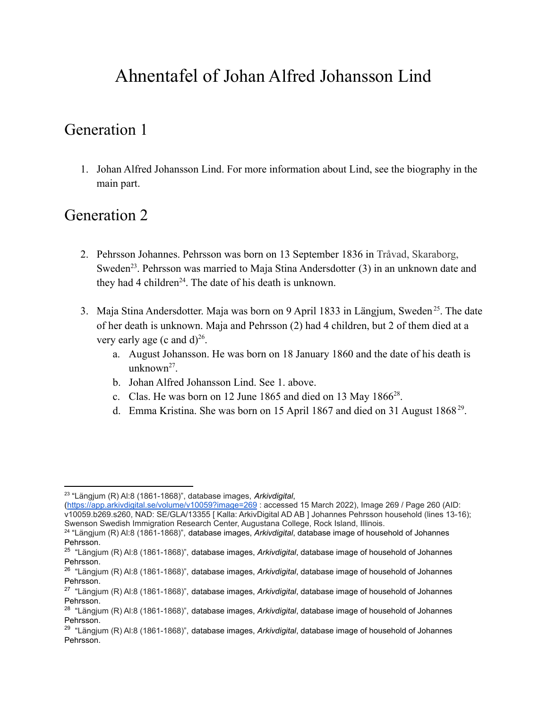## Ahnentafel of Johan Alfred Johansson Lind

#### Generation 1

1. Johan Alfred Johansson Lind. For more information about Lind, see the biography in the main part.

#### Generation 2

- 2. Pehrsson Johannes. Pehrsson was born on 13 September 1836 in Tråvad, Skaraborg, Sweden<sup>23</sup>. Pehrsson was married to Maja Stina Andersdotter (3) in an unknown date and they had 4 children<sup>24</sup>. The date of his death is unknown.
- 3. Maja Stina Andersdotter. Maja was born on 9 April 1833 in Längjum, Sweden<sup>25</sup>. The date of her death is unknown. Maja and Pehrsson (2) had 4 children, but 2 of them died at a very early age (c and  $d$ )<sup>26</sup>.
	- a. August Johansson. He was born on 18 January 1860 and the date of his death is unknown<sup>27</sup>.
	- b. Johan Alfred Johansson Lind. See 1. above.
	- c. Clas. He was born on 12 June 1865 and died on 13 May 1866 $^{28}$ .
	- d. Emma Kristina. She was born on 15 April 1867 and died on 31 August 1868 $2^9$ .

<sup>23</sup> "Längjum (R) Al:8 (1861-1868)", database images, *Arkivdigital*,

<sup>(</sup><https://app.arkivdigital.se/volume/v10059?image=269> : accessed 15 March 2022), Image 269 / Page 260 (AID: v10059.b269.s260, NAD: SE/GLA/13355 [ Kalla: ArkivDigital AD AB ] Johannes Pehrsson household (lines 13-16); Swenson Swedish Immigration Research Center, Augustana College, Rock Island, Illinois.

<sup>24</sup> "Längjum (R) Al:8 (1861-1868)", database images, *Arkivdigital*, database image of household of Johannes Pehrsson.

<sup>25</sup> "Längjum (R) Al:8 (1861-1868)", database images, *Arkivdigital*, database image of household of Johannes Pehrsson.

<sup>26</sup> "Längjum (R) Al:8 (1861-1868)", database images, *Arkivdigital*, database image of household of Johannes Pehrsson.

<sup>27</sup> "Längjum (R) Al:8 (1861-1868)", database images, *Arkivdigital*, database image of household of Johannes Pehrsson.

<sup>28</sup> "Längjum (R) Al:8 (1861-1868)", database images, *Arkivdigital*, database image of household of Johannes Pehrsson.

<sup>29</sup> "Längjum (R) Al:8 (1861-1868)", database images, *Arkivdigital*, database image of household of Johannes Pehrsson.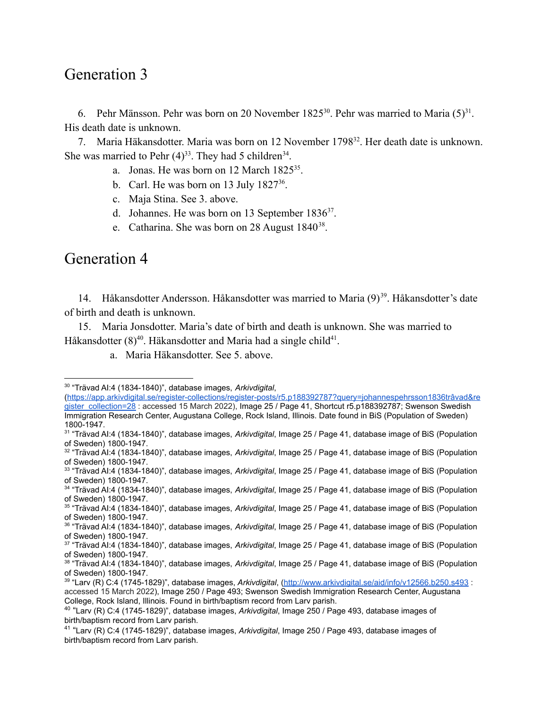#### Generation 3

6. Pehr Mänsson. Pehr was born on 20 November 1825<sup>30</sup>. Pehr was married to Maria  $(5)^{31}$ . His death date is unknown.

7. Maria Häkansdotter. Maria was born on 12 November 1798<sup>32</sup>. Her death date is unknown. She was married to Pehr  $(4)^{33}$ . They had 5 children<sup>34</sup>.

- a. Jonas. He was born on  $12$  March  $1825^{35}$ .
- b. Carl. He was born on 13 July  $1827^{36}$ .
- c. Maja Stina. See 3. above.
- d. Johannes. He was born on 13 September  $1836^{37}$ .
- e. Catharina. She was born on 28 August  $1840^{38}$ .

#### Generation 4

14. Håkansdotter Andersson. Håkansdotter was married to Maria (9)<sup>39</sup>. Håkansdotter's date of birth and death is unknown.

15. Maria Jonsdotter. Maria's date of birth and death is unknown. She was married to Håkansdotter  $(8)^{40}$ . Häkansdotter and Maria had a single child<sup>41</sup>.

a. Maria Häkansdotter. See 5. above.

<sup>30</sup> "Trävad AI:4 (1834-1840)", database images, *Arkivdigital*,

<sup>(</sup>[https://app.arkivdigital.se/register-collections/register-posts/r5.p188392787?query=johannespehrsson1836trâvad&re](https://app.arkivdigital.se/register-collections/register-posts/r5.p188392787?query=johannespehrsson1836tr%C3%A2vad®ister_collection=28) [gister\\_collection=28](https://app.arkivdigital.se/register-collections/register-posts/r5.p188392787?query=johannespehrsson1836tr%C3%A2vad®ister_collection=28) : accessed 15 March 2022), Image 25 / Page 41, Shortcut r5.p188392787; Swenson Swedish Immigration Research Center, Augustana College, Rock Island, Illinois. Date found in BiS (Population of Sweden) 1800-1947.

<sup>31</sup> "Trävad AI:4 (1834-1840)", database images, *Arkivdigital*, Image 25 / Page 41, database image of BiS (Population of Sweden) 1800-1947.

<sup>32</sup> "Trävad AI:4 (1834-1840)", database images, *Arkivdigital*, Image 25 / Page 41, database image of BiS (Population of Sweden) 1800-1947.

<sup>33</sup> "Trävad AI:4 (1834-1840)", database images, *Arkivdigital*, Image 25 / Page 41, database image of BiS (Population of Sweden) 1800-1947.

<sup>34</sup> "Trävad AI:4 (1834-1840)", database images, *Arkivdigital*, Image 25 / Page 41, database image of BiS (Population of Sweden) 1800-1947.

<sup>35</sup> "Trävad AI:4 (1834-1840)", database images, *Arkivdigital*, Image 25 / Page 41, database image of BiS (Population of Sweden) 1800-1947.

<sup>36</sup> "Trävad AI:4 (1834-1840)", database images, *Arkivdigital*, Image 25 / Page 41, database image of BiS (Population of Sweden) 1800-1947.

<sup>37</sup> "Trävad AI:4 (1834-1840)", database images, *Arkivdigital*, Image 25 / Page 41, database image of BiS (Population of Sweden) 1800-1947.

<sup>38</sup> "Trävad AI:4 (1834-1840)", database images, *Arkivdigital*, Image 25 / Page 41, database image of BiS (Population of Sweden) 1800-1947.

<sup>39</sup> "Larv (R) C:4 (1745-1829)", database images, *Arkivdigital*, [\(http://www.arkivdigital.se/aid/info/v12566.b250.s493](http://www.arkivdigital.se/aid/info/v12566.b250.s493) : accessed 15 March 2022), Image 250 / Page 493; Swenson Swedish Immigration Research Center, Augustana

College, Rock Island, Illinois. Found in birth/baptism record from Larv parish.

<sup>40</sup> "Larv (R) C:4 (1745-1829)", database images, *Arkivdigital*, Image 250 / Page 493, database images of birth/baptism record from Larv parish.

<sup>41</sup> "Larv (R) C:4 (1745-1829)", database images, *Arkivdigital*, Image 250 / Page 493, database images of birth/baptism record from Larv parish.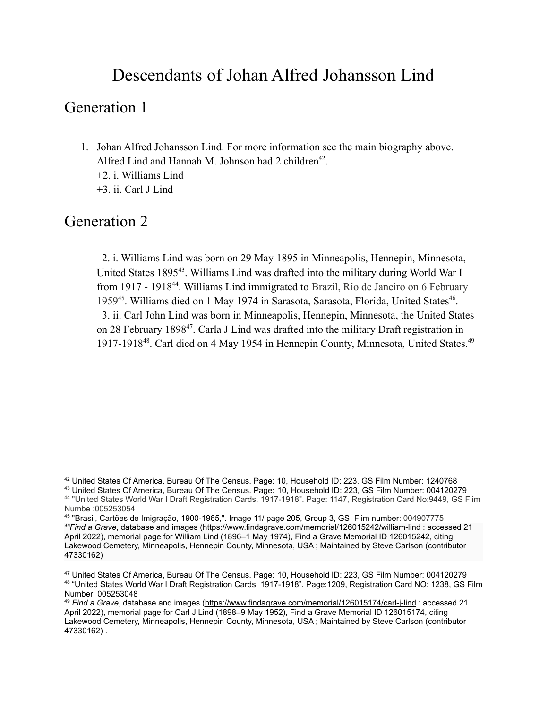### Descendants of Johan Alfred Johansson Lind

### Generation 1

- 1. Johan Alfred Johansson Lind. For more information see the main biography above. Alfred Lind and Hannah M. Johnson had 2 children<sup>42</sup>.
	- +2. i. Williams Lind
	- +3. ii. Carl J Lind

### Generation 2

2. i. Williams Lind was born on 29 May 1895 in Minneapolis, Hennepin, Minnesota, United States 1895<sup>43</sup>. Williams Lind was drafted into the military during World War I from 1917 - 1918<sup>44</sup>. Williams Lind immigrated to Brazil, Rio de Janeiro on 6 February 1959<sup>45</sup>. Williams died on 1 May 1974 in Sarasota, Sarasota, Florida, United States<sup>46</sup>. 3. ii. Carl John Lind was born in Minneapolis, Hennepin, Minnesota, the United States on 28 February 1898<sup>47</sup>. Carla J Lind was drafted into the military Draft registration in 1917-1918<sup>48</sup>. Carl died on 4 May 1954 in Hennepin County, Minnesota, United States.<sup>49</sup>

<sup>42</sup> United States Of America, Bureau Of The Census. Page: 10, Household ID: 223, GS Film Number: 1240768

<sup>44</sup> "United States World War I Draft Registration Cards, 1917-1918". Page: 1147, Registration Card No:9449, GS Flim Numbe :005253054 <sup>43</sup> United States Of America, Bureau Of The Census. Page: 10, Household ID: 223, GS Film Number: 004120279

*<sup>46</sup>Find a Grave*, database and images (<https://www.findagrave.com/memorial/126015242/william-lind> : accessed 21 April 2022), memorial page for William Lind (1896–1 May 1974), Find a Grave Memorial ID [126015242](https://www.findagrave.com/memorial/126015242/william-lind), citing Lakewood Cemetery, Minneapolis, Hennepin County, Minnesota, USA ; Maintained by Steve Carlson (contributor [47330](https://www.findagrave.com/user/profile/47330162)162) 45 "Brasil, Cartões de Imigração, 1900-1965,". Image 11/ page 205, Group 3, GS Flim number: 004907775

<sup>48</sup> "United States World War I Draft Registration Cards, 1917-1918". Page:1209, Registration Card NO: 1238, GS Film Number: 005253048 <sup>47</sup> United States Of America, Bureau Of The Census. Page: 10, Household ID: 223, GS Film Number: 004120279

<sup>49</sup> *Find a Grave*, database and images [\(https://www.findagrave.com/memorial/126015174/carl-j-lind](https://www.findagrave.com/memorial/126015174/carl-j-lind) : accessed 21 April 2022), memorial page for Carl J Lind (1898–9 May 1952), Find a Grave Memorial ID [126015174,](https://www.findagrave.com/memorial/126015174/carl-j-lind) citing Lakewood Cemetery, Minneapolis, Hennepin County, Minnesota, USA ; Maintained by Steve Carlson (contributor [47330162](https://www.findagrave.com/user/profile/47330162)) .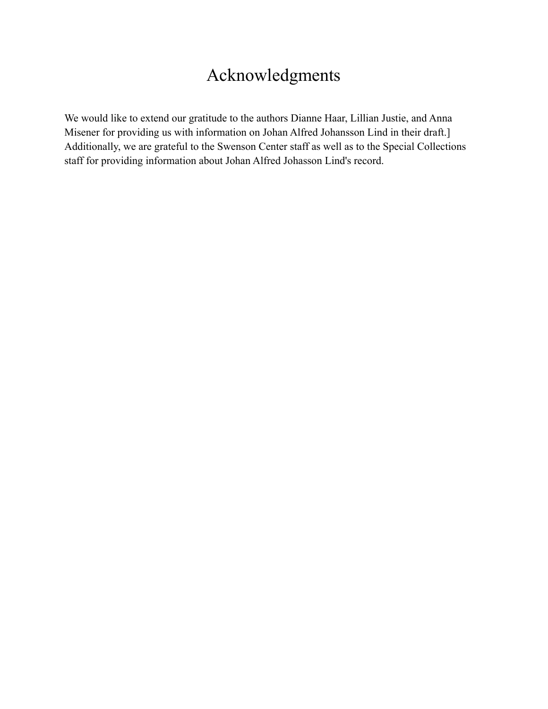## Acknowledgments

We would like to extend our gratitude to the authors Dianne Haar, Lillian Justie, and Anna Misener for providing us with information on Johan Alfred Johansson Lind in their draft.] Additionally, we are grateful to the Swenson Center staff as well as to the Special Collections staff for providing information about Johan Alfred Johasson Lind's record.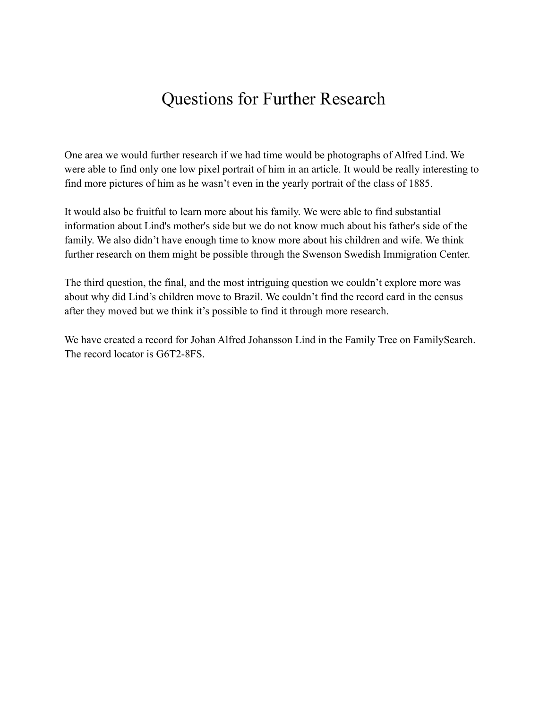### Questions for Further Research

One area we would further research if we had time would be photographs of Alfred Lind. We were able to find only one low pixel portrait of him in an article. It would be really interesting to find more pictures of him as he wasn't even in the yearly portrait of the class of 1885.

It would also be fruitful to learn more about his family. We were able to find substantial information about Lind's mother's side but we do not know much about his father's side of the family. We also didn't have enough time to know more about his children and wife. We think further research on them might be possible through the Swenson Swedish Immigration Center.

The third question, the final, and the most intriguing question we couldn't explore more was about why did Lind's children move to Brazil. We couldn't find the record card in the census after they moved but we think it's possible to find it through more research.

We have created a record for Johan Alfred Johansson Lind in the Family Tree on FamilySearch. The record locator is G6T2-8FS.